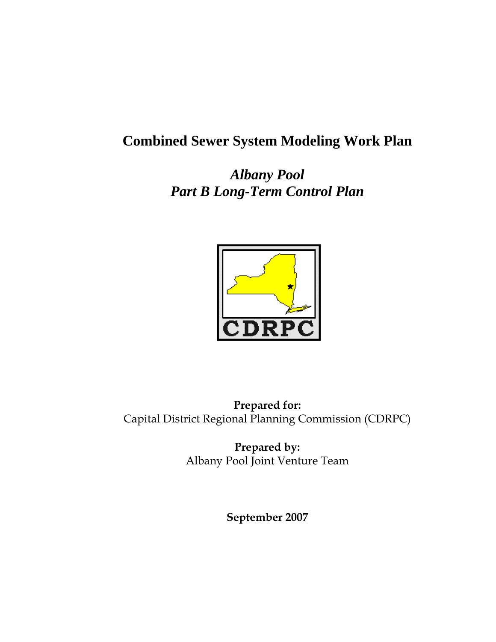## **Combined Sewer System Modeling Work Plan**

*Albany Pool Part B Long-Term Control Plan* 



**Prepared for:**  Capital District Regional Planning Commission (CDRPC)

> **Prepared by:**  Albany Pool Joint Venture Team

> > **September 2007**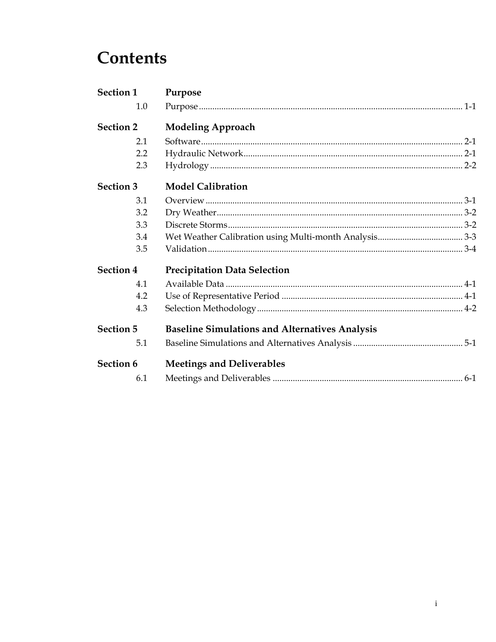# **Contents**

| Section 1        | Purpose                                               |  |
|------------------|-------------------------------------------------------|--|
| 1.0              |                                                       |  |
| <b>Section 2</b> | <b>Modeling Approach</b>                              |  |
| 2.1              |                                                       |  |
| 2.2              |                                                       |  |
| 2.3              |                                                       |  |
| <b>Section 3</b> | <b>Model Calibration</b>                              |  |
| 3.1              |                                                       |  |
| 3.2              |                                                       |  |
| 3.3              |                                                       |  |
| 3.4              |                                                       |  |
| 3.5              |                                                       |  |
| <b>Section 4</b> | <b>Precipitation Data Selection</b>                   |  |
| 4.1              |                                                       |  |
| 4.2              |                                                       |  |
| 4.3              |                                                       |  |
| <b>Section 5</b> | <b>Baseline Simulations and Alternatives Analysis</b> |  |
| 5.1              |                                                       |  |
| Section 6        | <b>Meetings and Deliverables</b>                      |  |
| 6.1              |                                                       |  |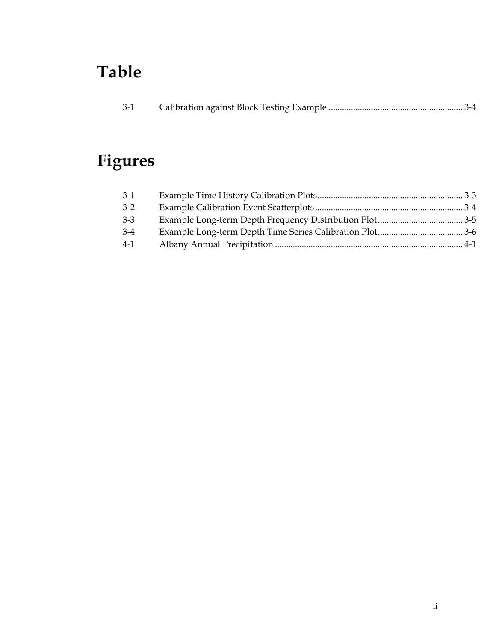# **Table**

| $3-1$ |  |  |
|-------|--|--|
|       |  |  |

# **Figures**

| $3-1$ |  |
|-------|--|
| $3-2$ |  |
| $3-3$ |  |
| $3-4$ |  |
| $4-1$ |  |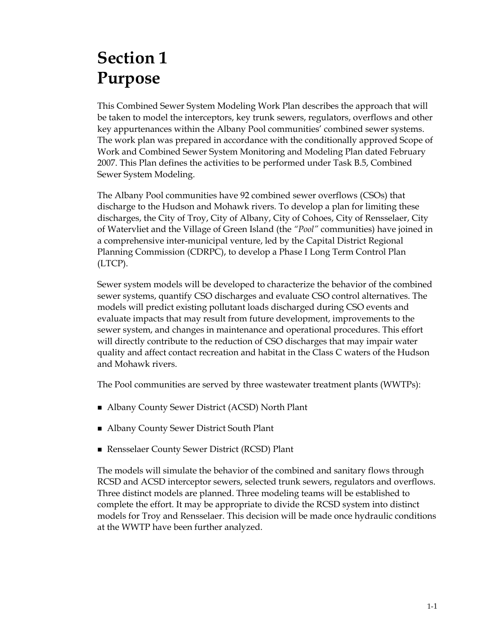# **Section 1 Purpose**

This Combined Sewer System Modeling Work Plan describes the approach that will be taken to model the interceptors, key trunk sewers, regulators, overflows and other key appurtenances within the Albany Pool communities' combined sewer systems. The work plan was prepared in accordance with the conditionally approved Scope of Work and Combined Sewer System Monitoring and Modeling Plan dated February 2007. This Plan defines the activities to be performed under Task B.5, Combined Sewer System Modeling.

The Albany Pool communities have 92 combined sewer overflows (CSOs) that discharge to the Hudson and Mohawk rivers. To develop a plan for limiting these discharges, the City of Troy, City of Albany, City of Cohoes, City of Rensselaer, City of Watervliet and the Village of Green Island (the *"Pool"* communities) have joined in a comprehensive inter-municipal venture, led by the Capital District Regional Planning Commission (CDRPC), to develop a Phase I Long Term Control Plan (LTCP).

Sewer system models will be developed to characterize the behavior of the combined sewer systems, quantify CSO discharges and evaluate CSO control alternatives. The models will predict existing pollutant loads discharged during CSO events and evaluate impacts that may result from future development, improvements to the sewer system, and changes in maintenance and operational procedures. This effort will directly contribute to the reduction of CSO discharges that may impair water quality and affect contact recreation and habitat in the Class C waters of the Hudson and Mohawk rivers.

The Pool communities are served by three wastewater treatment plants (WWTPs):

- Albany County Sewer District (ACSD) North Plant
- Albany County Sewer District South Plant
- Rensselaer County Sewer District (RCSD) Plant

The models will simulate the behavior of the combined and sanitary flows through RCSD and ACSD interceptor sewers, selected trunk sewers, regulators and overflows. Three distinct models are planned. Three modeling teams will be established to complete the effort. It may be appropriate to divide the RCSD system into distinct models for Troy and Rensselaer. This decision will be made once hydraulic conditions at the WWTP have been further analyzed.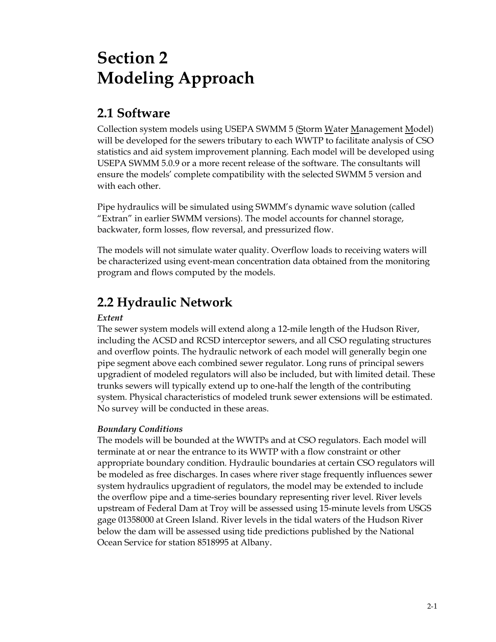# **Section 2 Modeling Approach**

### **2.1 Software**

Collection system models using USEPA SWMM 5 (Storm Water Management Model) will be developed for the sewers tributary to each WWTP to facilitate analysis of CSO statistics and aid system improvement planning. Each model will be developed using USEPA SWMM 5.0.9 or a more recent release of the software. The consultants will ensure the models' complete compatibility with the selected SWMM 5 version and with each other.

Pipe hydraulics will be simulated using SWMM's dynamic wave solution (called "Extran" in earlier SWMM versions). The model accounts for channel storage, backwater, form losses, flow reversal, and pressurized flow.

The models will not simulate water quality. Overflow loads to receiving waters will be characterized using event-mean concentration data obtained from the monitoring program and flows computed by the models.

## **2.2 Hydraulic Network**

#### *Extent*

The sewer system models will extend along a 12-mile length of the Hudson River, including the ACSD and RCSD interceptor sewers, and all CSO regulating structures and overflow points. The hydraulic network of each model will generally begin one pipe segment above each combined sewer regulator. Long runs of principal sewers upgradient of modeled regulators will also be included, but with limited detail. These trunks sewers will typically extend up to one-half the length of the contributing system. Physical characteristics of modeled trunk sewer extensions will be estimated. No survey will be conducted in these areas.

#### *Boundary Conditions*

The models will be bounded at the WWTPs and at CSO regulators. Each model will terminate at or near the entrance to its WWTP with a flow constraint or other appropriate boundary condition. Hydraulic boundaries at certain CSO regulators will be modeled as free discharges. In cases where river stage frequently influences sewer system hydraulics upgradient of regulators, the model may be extended to include the overflow pipe and a time-series boundary representing river level. River levels upstream of Federal Dam at Troy will be assessed using 15-minute levels from USGS gage 01358000 at Green Island. River levels in the tidal waters of the Hudson River below the dam will be assessed using tide predictions published by the National Ocean Service for station 8518995 at Albany.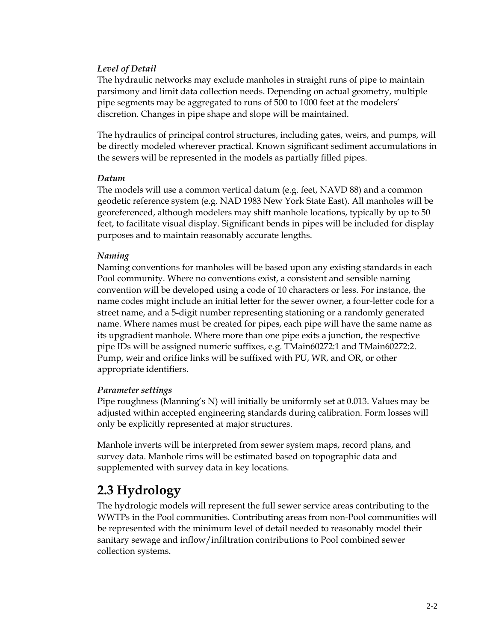#### *Level of Detail*

The hydraulic networks may exclude manholes in straight runs of pipe to maintain parsimony and limit data collection needs. Depending on actual geometry, multiple pipe segments may be aggregated to runs of 500 to 1000 feet at the modelers' discretion. Changes in pipe shape and slope will be maintained.

The hydraulics of principal control structures, including gates, weirs, and pumps, will be directly modeled wherever practical. Known significant sediment accumulations in the sewers will be represented in the models as partially filled pipes.

#### *Datum*

The models will use a common vertical datum (e.g. feet, NAVD 88) and a common geodetic reference system (e.g. NAD 1983 New York State East). All manholes will be georeferenced, although modelers may shift manhole locations, typically by up to 50 feet, to facilitate visual display. Significant bends in pipes will be included for display purposes and to maintain reasonably accurate lengths.

#### *Naming*

Naming conventions for manholes will be based upon any existing standards in each Pool community. Where no conventions exist, a consistent and sensible naming convention will be developed using a code of 10 characters or less. For instance, the name codes might include an initial letter for the sewer owner, a four-letter code for a street name, and a 5-digit number representing stationing or a randomly generated name. Where names must be created for pipes, each pipe will have the same name as its upgradient manhole. Where more than one pipe exits a junction, the respective pipe IDs will be assigned numeric suffixes, e.g. TMain60272:1 and TMain60272:2. Pump, weir and orifice links will be suffixed with PU, WR, and OR, or other appropriate identifiers.

#### *Parameter settings*

Pipe roughness (Manning's N) will initially be uniformly set at 0.013. Values may be adjusted within accepted engineering standards during calibration. Form losses will only be explicitly represented at major structures.

Manhole inverts will be interpreted from sewer system maps, record plans, and survey data. Manhole rims will be estimated based on topographic data and supplemented with survey data in key locations.

### **2.3 Hydrology**

The hydrologic models will represent the full sewer service areas contributing to the WWTPs in the Pool communities. Contributing areas from non-Pool communities will be represented with the minimum level of detail needed to reasonably model their sanitary sewage and inflow/infiltration contributions to Pool combined sewer collection systems.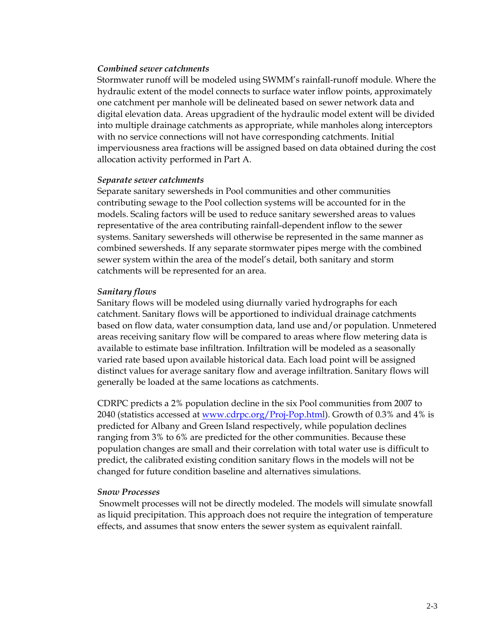#### *Combined sewer catchments*

Stormwater runoff will be modeled using SWMM's rainfall-runoff module. Where the hydraulic extent of the model connects to surface water inflow points, approximately one catchment per manhole will be delineated based on sewer network data and digital elevation data. Areas upgradient of the hydraulic model extent will be divided into multiple drainage catchments as appropriate, while manholes along interceptors with no service connections will not have corresponding catchments. Initial imperviousness area fractions will be assigned based on data obtained during the cost allocation activity performed in Part A.

#### *Separate sewer catchments*

Separate sanitary sewersheds in Pool communities and other communities contributing sewage to the Pool collection systems will be accounted for in the models. Scaling factors will be used to reduce sanitary sewershed areas to values representative of the area contributing rainfall-dependent inflow to the sewer systems. Sanitary sewersheds will otherwise be represented in the same manner as combined sewersheds. If any separate stormwater pipes merge with the combined sewer system within the area of the model's detail, both sanitary and storm catchments will be represented for an area.

#### *Sanitary flows*

Sanitary flows will be modeled using diurnally varied hydrographs for each catchment. Sanitary flows will be apportioned to individual drainage catchments based on flow data, water consumption data, land use and/or population. Unmetered areas receiving sanitary flow will be compared to areas where flow metering data is available to estimate base infiltration. Infiltration will be modeled as a seasonally varied rate based upon available historical data. Each load point will be assigned distinct values for average sanitary flow and average infiltration. Sanitary flows will generally be loaded at the same locations as catchments.

CDRPC predicts a 2% population decline in the six Pool communities from 2007 to 2040 (statistics accessed at www.cdrpc.org/Proj-Pop.html). Growth of 0.3% and 4% is predicted for Albany and Green Island respectively, while population declines ranging from 3% to 6% are predicted for the other communities. Because these population changes are small and their correlation with total water use is difficult to predict, the calibrated existing condition sanitary flows in the models will not be changed for future condition baseline and alternatives simulations.

#### *Snow Processes*

 Snowmelt processes will not be directly modeled. The models will simulate snowfall as liquid precipitation. This approach does not require the integration of temperature effects, and assumes that snow enters the sewer system as equivalent rainfall.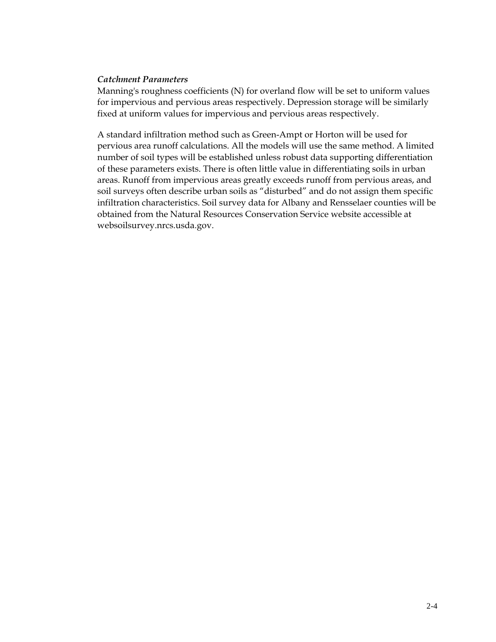#### *Catchment Parameters*

Manning's roughness coefficients (N) for overland flow will be set to uniform values for impervious and pervious areas respectively. Depression storage will be similarly fixed at uniform values for impervious and pervious areas respectively.

A standard infiltration method such as Green-Ampt or Horton will be used for pervious area runoff calculations. All the models will use the same method. A limited number of soil types will be established unless robust data supporting differentiation of these parameters exists. There is often little value in differentiating soils in urban areas. Runoff from impervious areas greatly exceeds runoff from pervious areas, and soil surveys often describe urban soils as "disturbed" and do not assign them specific infiltration characteristics. Soil survey data for Albany and Rensselaer counties will be obtained from the Natural Resources Conservation Service website accessible at websoilsurvey.nrcs.usda.gov.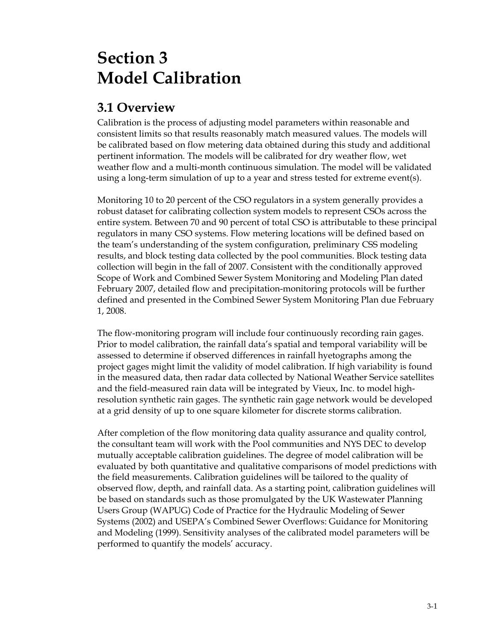# **Section 3 Model Calibration**

### **3.1 Overview**

Calibration is the process of adjusting model parameters within reasonable and consistent limits so that results reasonably match measured values. The models will be calibrated based on flow metering data obtained during this study and additional pertinent information. The models will be calibrated for dry weather flow, wet weather flow and a multi-month continuous simulation. The model will be validated using a long-term simulation of up to a year and stress tested for extreme event(s).

Monitoring 10 to 20 percent of the CSO regulators in a system generally provides a robust dataset for calibrating collection system models to represent CSOs across the entire system. Between 70 and 90 percent of total CSO is attributable to these principal regulators in many CSO systems. Flow metering locations will be defined based on the team's understanding of the system configuration, preliminary CSS modeling results, and block testing data collected by the pool communities. Block testing data collection will begin in the fall of 2007. Consistent with the conditionally approved Scope of Work and Combined Sewer System Monitoring and Modeling Plan dated February 2007, detailed flow and precipitation-monitoring protocols will be further defined and presented in the Combined Sewer System Monitoring Plan due February 1, 2008.

The flow-monitoring program will include four continuously recording rain gages. Prior to model calibration, the rainfall data's spatial and temporal variability will be assessed to determine if observed differences in rainfall hyetographs among the project gages might limit the validity of model calibration. If high variability is found in the measured data, then radar data collected by National Weather Service satellites and the field-measured rain data will be integrated by Vieux, Inc. to model highresolution synthetic rain gages. The synthetic rain gage network would be developed at a grid density of up to one square kilometer for discrete storms calibration.

After completion of the flow monitoring data quality assurance and quality control, the consultant team will work with the Pool communities and NYS DEC to develop mutually acceptable calibration guidelines. The degree of model calibration will be evaluated by both quantitative and qualitative comparisons of model predictions with the field measurements. Calibration guidelines will be tailored to the quality of observed flow, depth, and rainfall data. As a starting point, calibration guidelines will be based on standards such as those promulgated by the UK Wastewater Planning Users Group (WAPUG) Code of Practice for the Hydraulic Modeling of Sewer Systems (2002) and USEPA's Combined Sewer Overflows: Guidance for Monitoring and Modeling (1999). Sensitivity analyses of the calibrated model parameters will be performed to quantify the models' accuracy.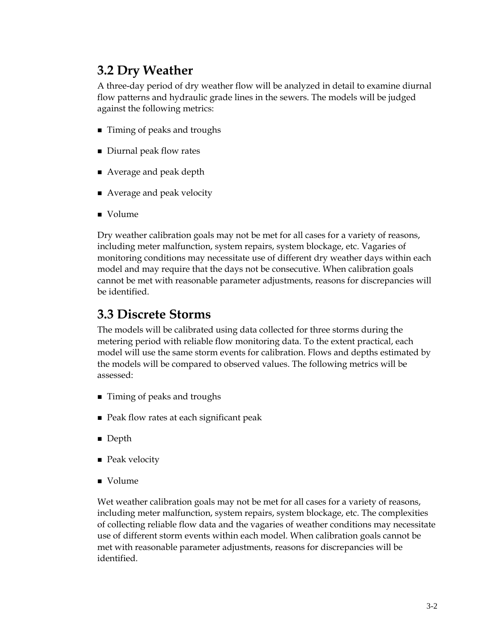## **3.2 Dry Weather**

A three-day period of dry weather flow will be analyzed in detail to examine diurnal flow patterns and hydraulic grade lines in the sewers. The models will be judged against the following metrics:

- Timing of peaks and troughs
- Diurnal peak flow rates
- Average and peak depth
- Average and peak velocity
- Volume

Dry weather calibration goals may not be met for all cases for a variety of reasons, including meter malfunction, system repairs, system blockage, etc. Vagaries of monitoring conditions may necessitate use of different dry weather days within each model and may require that the days not be consecutive. When calibration goals cannot be met with reasonable parameter adjustments, reasons for discrepancies will be identified.

### **3.3 Discrete Storms**

The models will be calibrated using data collected for three storms during the metering period with reliable flow monitoring data. To the extent practical, each model will use the same storm events for calibration. Flows and depths estimated by the models will be compared to observed values. The following metrics will be assessed:

- Timing of peaks and troughs
- Peak flow rates at each significant peak
- Depth
- Peak velocity
- Volume

Wet weather calibration goals may not be met for all cases for a variety of reasons, including meter malfunction, system repairs, system blockage, etc. The complexities of collecting reliable flow data and the vagaries of weather conditions may necessitate use of different storm events within each model. When calibration goals cannot be met with reasonable parameter adjustments, reasons for discrepancies will be identified.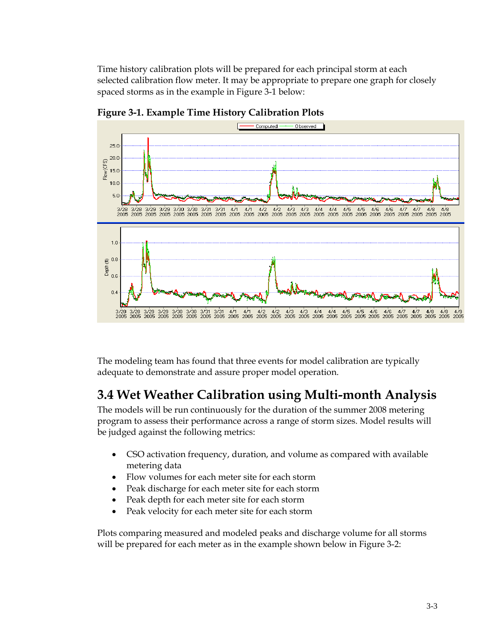Time history calibration plots will be prepared for each principal storm at each selected calibration flow meter. It may be appropriate to prepare one graph for closely spaced storms as in the example in Figure 3-1 below:



**Figure 3-1. Example Time History Calibration Plots** 

The modeling team has found that three events for model calibration are typically adequate to demonstrate and assure proper model operation.

### **3.4 Wet Weather Calibration using Multi-month Analysis**

The models will be run continuously for the duration of the summer 2008 metering program to assess their performance across a range of storm sizes. Model results will be judged against the following metrics:

- CSO activation frequency, duration, and volume as compared with available metering data
- Flow volumes for each meter site for each storm
- Peak discharge for each meter site for each storm
- Peak depth for each meter site for each storm
- Peak velocity for each meter site for each storm

Plots comparing measured and modeled peaks and discharge volume for all storms will be prepared for each meter as in the example shown below in Figure 3-2: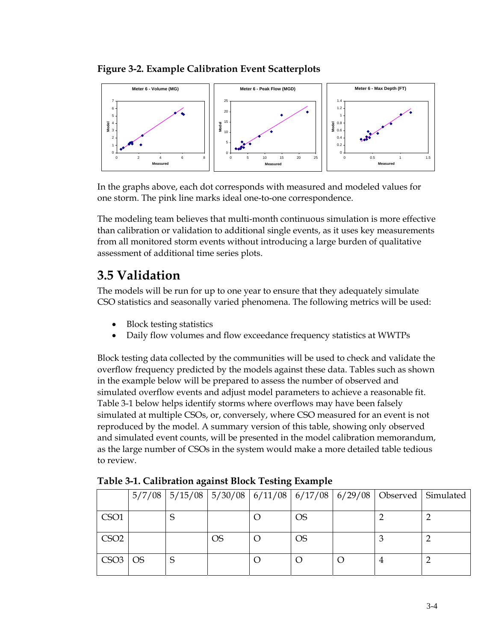

**Figure 3-2. Example Calibration Event Scatterplots** 

In the graphs above, each dot corresponds with measured and modeled values for one storm. The pink line marks ideal one-to-one correspondence.

The modeling team believes that multi-month continuous simulation is more effective than calibration or validation to additional single events, as it uses key measurements from all monitored storm events without introducing a large burden of qualitative assessment of additional time series plots.

## **3.5 Validation**

The models will be run for up to one year to ensure that they adequately simulate CSO statistics and seasonally varied phenomena. The following metrics will be used:

- Block testing statistics
- Daily flow volumes and flow exceedance frequency statistics at WWTPs

Block testing data collected by the communities will be used to check and validate the overflow frequency predicted by the models against these data. Tables such as shown in the example below will be prepared to assess the number of observed and simulated overflow events and adjust model parameters to achieve a reasonable fit. Table 3-1 below helps identify storms where overflows may have been falsely simulated at multiple CSOs, or, conversely, where CSO measured for an event is not reproduced by the model. A summary version of this table, showing only observed and simulated event counts, will be presented in the model calibration memorandum, as the large number of CSOs in the system would make a more detailed table tedious to review.

|                  |           |   |           |  |           |  | 5/7/08   5/15/08   5/30/08   6/11/08   6/17/08   6/29/08   Observed   Simulated |
|------------------|-----------|---|-----------|--|-----------|--|---------------------------------------------------------------------------------|
| CSO1             |           |   |           |  | <b>OS</b> |  |                                                                                 |
| CSO <sub>2</sub> |           |   | <b>OS</b> |  | <b>OS</b> |  |                                                                                 |
| CSO3             | <b>OS</b> | S |           |  |           |  |                                                                                 |

**Table 3-1. Calibration against Block Testing Example**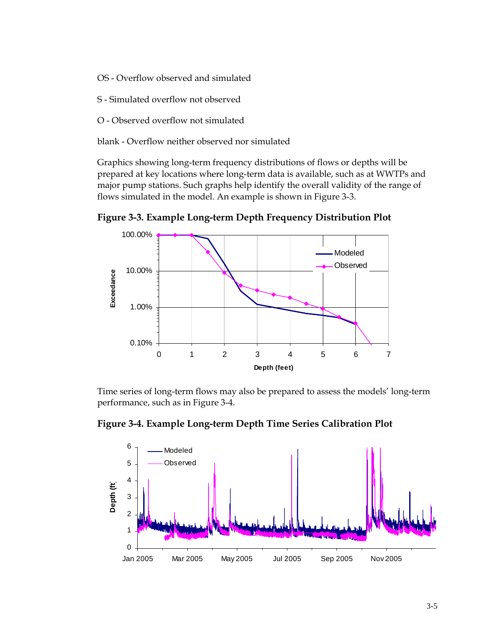- OS Overflow observed and simulated
- S Simulated overflow not observed
- O Observed overflow not simulated
- blank Overflow neither observed nor simulated

Graphics showing long-term frequency distributions of flows or depths will be prepared at key locations where long-term data is available, such as at WWTPs and major pump stations. Such graphs help identify the overall validity of the range of flows simulated in the model. An example is shown in Figure 3-3.

**Figure 3-3. Example Long-term Depth Frequency Distribution Plot** 



Time series of long-term flows may also be prepared to assess the models' long-term performance, such as in Figure 3-4.

**Figure 3-4. Example Long-term Depth Time Series Calibration Plot** 

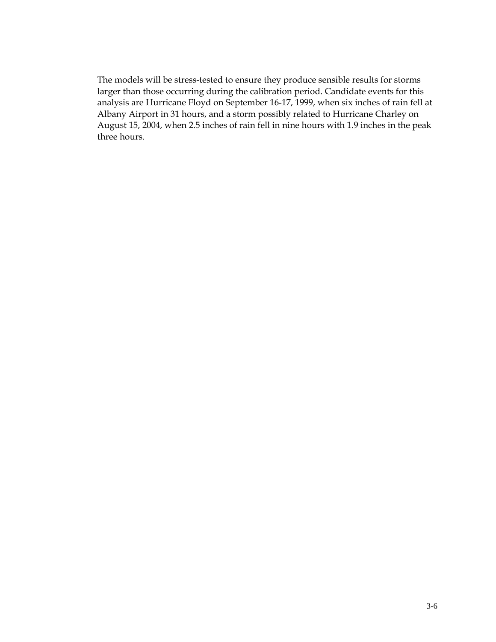The models will be stress-tested to ensure they produce sensible results for storms larger than those occurring during the calibration period. Candidate events for this analysis are Hurricane Floyd on September 16-17, 1999, when six inches of rain fell at Albany Airport in 31 hours, and a storm possibly related to Hurricane Charley on August 15, 2004, when 2.5 inches of rain fell in nine hours with 1.9 inches in the peak three hours.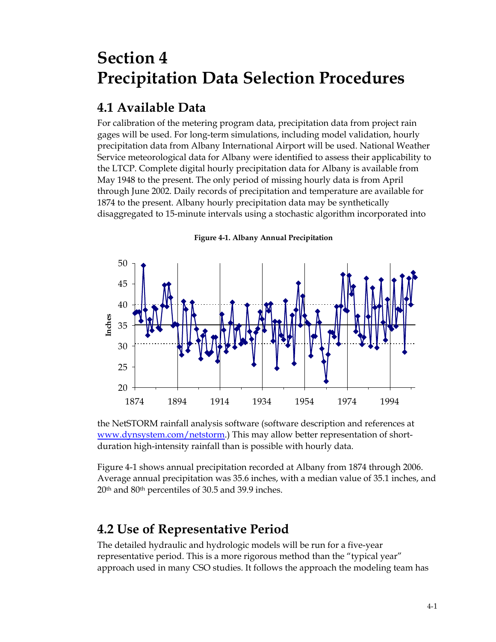## **Section 4 Precipitation Data Selection Procedures**

## **4.1 Available Data**

For calibration of the metering program data, precipitation data from project rain gages will be used. For long-term simulations, including model validation, hourly precipitation data from Albany International Airport will be used. National Weather Service meteorological data for Albany were identified to assess their applicability to the LTCP. Complete digital hourly precipitation data for Albany is available from May 1948 to the present. The only period of missing hourly data is from April through June 2002. Daily records of precipitation and temperature are available for 1874 to the present. Albany hourly precipitation data may be synthetically disaggregated to 15-minute intervals using a stochastic algorithm incorporated into



**Figure 4-1. Albany Annual Precipitation**

the NetSTORM rainfall analysis software (software description and references at www.dynsystem.com/netstorm.) This may allow better representation of shortduration high-intensity rainfall than is possible with hourly data.

Figure 4-1 shows annual precipitation recorded at Albany from 1874 through 2006. Average annual precipitation was 35.6 inches, with a median value of 35.1 inches, and 20th and 80th percentiles of 30.5 and 39.9 inches.

## **4.2 Use of Representative Period**

The detailed hydraulic and hydrologic models will be run for a five-year representative period. This is a more rigorous method than the "typical year" approach used in many CSO studies. It follows the approach the modeling team has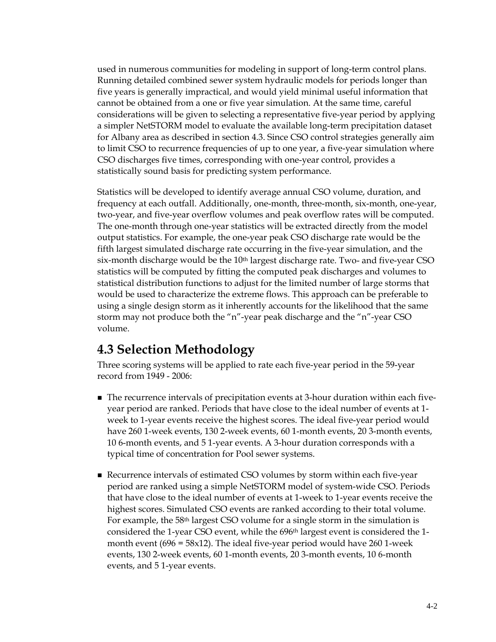used in numerous communities for modeling in support of long-term control plans. Running detailed combined sewer system hydraulic models for periods longer than five years is generally impractical, and would yield minimal useful information that cannot be obtained from a one or five year simulation. At the same time, careful considerations will be given to selecting a representative five-year period by applying a simpler NetSTORM model to evaluate the available long-term precipitation dataset for Albany area as described in section 4.3. Since CSO control strategies generally aim to limit CSO to recurrence frequencies of up to one year, a five-year simulation where CSO discharges five times, corresponding with one-year control, provides a statistically sound basis for predicting system performance.

Statistics will be developed to identify average annual CSO volume, duration, and frequency at each outfall. Additionally, one-month, three-month, six-month, one-year, two-year, and five-year overflow volumes and peak overflow rates will be computed. The one-month through one-year statistics will be extracted directly from the model output statistics. For example, the one-year peak CSO discharge rate would be the fifth largest simulated discharge rate occurring in the five-year simulation, and the six-month discharge would be the  $10<sup>th</sup>$  largest discharge rate. Two- and five-year CSO statistics will be computed by fitting the computed peak discharges and volumes to statistical distribution functions to adjust for the limited number of large storms that would be used to characterize the extreme flows. This approach can be preferable to using a single design storm as it inherently accounts for the likelihood that the same storm may not produce both the "n"-year peak discharge and the "n"-year CSO volume.

### **4.3 Selection Methodology**

Three scoring systems will be applied to rate each five-year period in the 59-year record from 1949 - 2006:

- The recurrence intervals of precipitation events at 3-hour duration within each fiveyear period are ranked. Periods that have close to the ideal number of events at 1 week to 1-year events receive the highest scores. The ideal five-year period would have 260 1-week events, 130 2-week events, 60 1-month events, 20 3-month events, 10 6-month events, and 5 1-year events. A 3-hour duration corresponds with a typical time of concentration for Pool sewer systems.
- Recurrence intervals of estimated CSO volumes by storm within each five-year period are ranked using a simple NetSTORM model of system-wide CSO. Periods that have close to the ideal number of events at 1-week to 1-year events receive the highest scores. Simulated CSO events are ranked according to their total volume. For example, the 58th largest CSO volume for a single storm in the simulation is considered the 1-year CSO event, while the 696th largest event is considered the 1 month event (696 = 58x12). The ideal five-year period would have 260 1-week events, 130 2-week events, 60 1-month events, 20 3-month events, 10 6-month events, and 5 1-year events.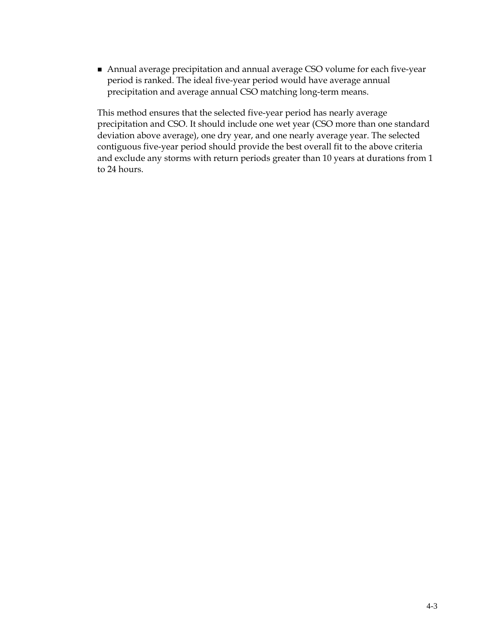Annual average precipitation and annual average CSO volume for each five-year period is ranked. The ideal five-year period would have average annual precipitation and average annual CSO matching long-term means.

This method ensures that the selected five-year period has nearly average precipitation and CSO. It should include one wet year (CSO more than one standard deviation above average), one dry year, and one nearly average year. The selected contiguous five-year period should provide the best overall fit to the above criteria and exclude any storms with return periods greater than 10 years at durations from 1 to 24 hours.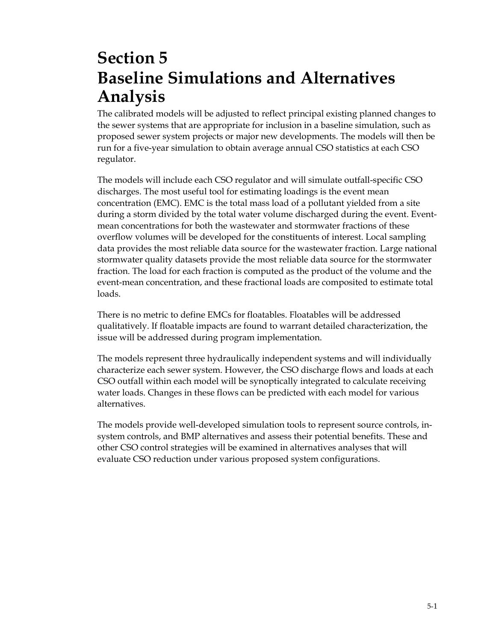## **Section 5 Baseline Simulations and Alternatives Analysis**

The calibrated models will be adjusted to reflect principal existing planned changes to the sewer systems that are appropriate for inclusion in a baseline simulation, such as proposed sewer system projects or major new developments. The models will then be run for a five-year simulation to obtain average annual CSO statistics at each CSO regulator.

The models will include each CSO regulator and will simulate outfall-specific CSO discharges. The most useful tool for estimating loadings is the event mean concentration (EMC). EMC is the total mass load of a pollutant yielded from a site during a storm divided by the total water volume discharged during the event. Eventmean concentrations for both the wastewater and stormwater fractions of these overflow volumes will be developed for the constituents of interest. Local sampling data provides the most reliable data source for the wastewater fraction. Large national stormwater quality datasets provide the most reliable data source for the stormwater fraction. The load for each fraction is computed as the product of the volume and the event-mean concentration, and these fractional loads are composited to estimate total loads.

There is no metric to define EMCs for floatables. Floatables will be addressed qualitatively. If floatable impacts are found to warrant detailed characterization, the issue will be addressed during program implementation.

The models represent three hydraulically independent systems and will individually characterize each sewer system. However, the CSO discharge flows and loads at each CSO outfall within each model will be synoptically integrated to calculate receiving water loads. Changes in these flows can be predicted with each model for various alternatives.

The models provide well-developed simulation tools to represent source controls, insystem controls, and BMP alternatives and assess their potential benefits. These and other CSO control strategies will be examined in alternatives analyses that will evaluate CSO reduction under various proposed system configurations.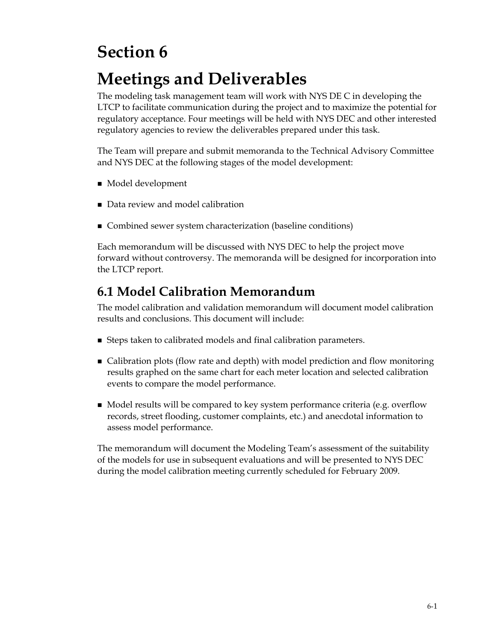# **Section 6**

# **Meetings and Deliverables**

The modeling task management team will work with NYS DE C in developing the LTCP to facilitate communication during the project and to maximize the potential for regulatory acceptance. Four meetings will be held with NYS DEC and other interested regulatory agencies to review the deliverables prepared under this task.

The Team will prepare and submit memoranda to the Technical Advisory Committee and NYS DEC at the following stages of the model development:

- Model development
- Data review and model calibration
- Combined sewer system characterization (baseline conditions)

Each memorandum will be discussed with NYS DEC to help the project move forward without controversy. The memoranda will be designed for incorporation into the LTCP report.

## **6.1 Model Calibration Memorandum**

The model calibration and validation memorandum will document model calibration results and conclusions. This document will include:

- Steps taken to calibrated models and final calibration parameters.
- Calibration plots (flow rate and depth) with model prediction and flow monitoring results graphed on the same chart for each meter location and selected calibration events to compare the model performance.
- Model results will be compared to key system performance criteria (e.g. overflow records, street flooding, customer complaints, etc.) and anecdotal information to assess model performance.

The memorandum will document the Modeling Team's assessment of the suitability of the models for use in subsequent evaluations and will be presented to NYS DEC during the model calibration meeting currently scheduled for February 2009.